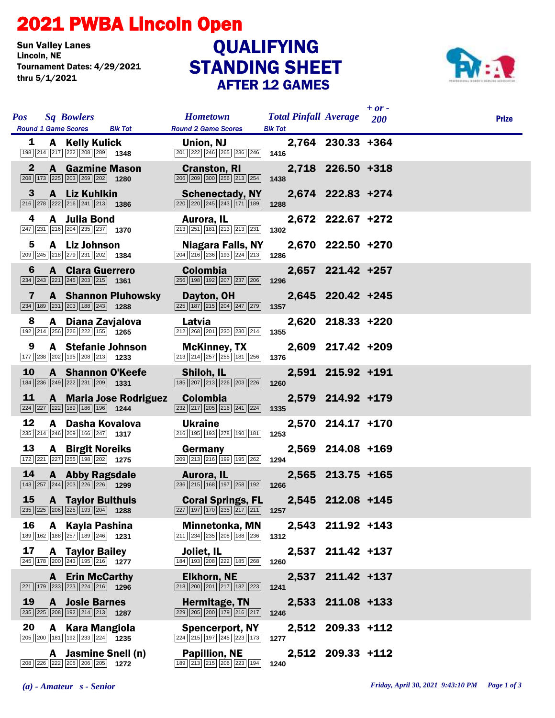## 2021 PWBA Lincoln Open

**Sun Valley Lanes<br>Lincoln, NE** Tournament Dates: 4/29/2021 thru 5/1/2021

## STANDING SHEET AFTER 12 GAMES QUALIFYING



| <b>Pos</b>   |                            | <b>Sq Bowlers</b>                                                                                               |                               | <b>Hometown</b>                                                                                                        | <b>Total Pinfall Average</b> |                   | $+$ or -<br><b>200</b> | <b>Prize</b> |
|--------------|----------------------------|-----------------------------------------------------------------------------------------------------------------|-------------------------------|------------------------------------------------------------------------------------------------------------------------|------------------------------|-------------------|------------------------|--------------|
| 1            | <b>Round 1 Game Scores</b> | A Kelly Kulick                                                                                                  | <b>Blk Tot</b>                | <b>Round 2 Game Scores</b><br>Union, NJ                                                                                | <b>Blk Tot</b>               | 2,764 230.33 +364 |                        |              |
| $\mathbf{2}$ |                            | 198 214 217 222 208 289 1348<br><b>A</b> Gazmine Mason                                                          |                               | $\boxed{201}$ $\boxed{222}$ $\boxed{246}$ $\boxed{265}$ $\boxed{236}$ $\boxed{246}$ <b>1416</b><br><b>Cranston, RI</b> |                              | 2,718 226.50 +318 |                        |              |
| 3            |                            | 208 173 225 203 269 202 1280<br>A Liz Kuhlkin                                                                   |                               | 206 209 300 256 213 254<br><b>Schenectady, NY</b>                                                                      | 1438                         | 2,674 222.83 +274 |                        |              |
| 4            |                            | $\boxed{216}$ $\boxed{278}$ $\boxed{222}$ $\boxed{216}$ $\boxed{241}$ $\boxed{213}$ <b>1386</b><br>A Julia Bond |                               | 220 220 245 243 171 189<br>Aurora, IL                                                                                  | 1288                         | 2,672 222.67 +272 |                        |              |
| 5            |                            | 247 231 216 204 235 237 1370<br>A Liz Johnson                                                                   |                               | $\boxed{213}$ $\boxed{251}$ $\boxed{181}$ $\boxed{213}$ $\boxed{213}$ $\boxed{231}$<br><b>Niagara Falls, NY</b>        | 1302                         | 2,670 222.50 +270 |                        |              |
| 6            |                            | 209 245 218 279 231 202 1384<br><b>A</b> Clara Guerrero                                                         |                               | $\boxed{204}$ $\boxed{216}$ $\boxed{236}$ $\boxed{193}$ $\boxed{224}$ $\boxed{213}$<br><b>Colombia</b>                 | 1286                         | 2,657 221.42 +257 |                        |              |
|              |                            | $\boxed{234}$ $\boxed{243}$ $\boxed{221}$ $\boxed{245}$ $\boxed{203}$ $\boxed{215}$ <b>1361</b>                 |                               | 256 198 192 207 237 206                                                                                                | 1296                         |                   |                        |              |
| 7            |                            | $\boxed{234}$ 189 231 203 188 243 1288                                                                          | <b>A</b> Shannon Pluhowsky    | Dayton, OH<br>$\boxed{225}$ $\boxed{187}$ $\boxed{215}$ $\boxed{204}$ $\boxed{247}$ $\boxed{279}$                      | 1357                         | 2,645 220.42 +245 |                        |              |
| 8            |                            | A Diana Zavjalova<br>192 214 256 226 222 155 1265                                                               |                               | Latvia<br>212 268 201 230 230 214                                                                                      | 1355                         | 2,620 218.33 +220 |                        |              |
| 9            |                            | A Stefanie Johnson<br>177 238 202 195 208 213 1233                                                              |                               | <b>McKinney, TX</b><br>$\boxed{213}$ $\boxed{214}$ $\boxed{257}$ $\boxed{255}$ $\boxed{181}$ $\boxed{256}$             | 1376                         | 2,609 217.42 +209 |                        |              |
| 10           |                            | A Shannon O'Keefe<br>184 236 249 222 231 209 1331                                                               |                               | Shiloh, IL<br>185 207 213 226 203 226                                                                                  | 1260                         | 2,591 215.92 +191 |                        |              |
| <u>11</u>    |                            | 224 227 222 189 186 196 1244                                                                                    | <b>A</b> Maria Jose Rodriguez | <b>Colombia</b><br>$\boxed{232}\boxed{217}\boxed{205}\boxed{216}\boxed{241}\boxed{224}$                                | 1335                         | 2,579 214.92 +179 |                        |              |
| 12           |                            | A Dasha Kovalova<br>235 214 246 209 166 247 1317                                                                |                               | <b>Ukraine</b><br>216 195 193 278 190 181                                                                              | 1253                         | 2,570 214.17 +170 |                        |              |
| 13           |                            | <b>A</b> Birgit Noreiks<br>172 221 227 255 198 202 1275                                                         |                               | Germany<br>209 213 216 199 195 262                                                                                     | 1294                         | 2,569 214.08 +169 |                        |              |
| 14           |                            | A Abby Ragsdale<br>143 257 244 203 226 226 1299                                                                 |                               | Aurora, IL<br>$\boxed{236}$ $\boxed{215}$ $\boxed{168}$ $\boxed{197}$ $\boxed{258}$ $\boxed{192}$                      | 1266                         | 2,565 213.75 +165 |                        |              |
| <b>15</b>    |                            | <b>A</b> Taylor Bulthuis<br>235 225 206 225 193 204 1288                                                        |                               | <b>Coral Springs, FL</b><br>227 197 170 235 217 211                                                                    | 1257                         | 2,545 212.08 +145 |                        |              |
| 16           |                            | A Kayla Pashina<br>189 162 188 257 189 246 1231                                                                 |                               | <b>Minnetonka, MN</b><br>211 234 235 208 188 236                                                                       | 1312                         | 2,543 211.92 +143 |                        |              |
| 17           |                            | <b>A</b> Taylor Bailey<br>245 178 200 243 195 216 1277                                                          |                               | Joliet, IL<br>184 193 208 222 185 268                                                                                  | 1260                         | 2,537 211.42 +137 |                        |              |
|              |                            | <b>A</b> Erin McCarthy<br>221 179 233 223 224 216 1296                                                          |                               | <b>Elkhorn, NE</b><br>218 200 201 217 182 223                                                                          | 1241                         | 2,537 211.42 +137 |                        |              |
| 19           |                            | <b>A</b> Josie Barnes<br>235 225 208 192 214 213 1287                                                           |                               | Hermitage, TN<br>229 205 200 179 216 217                                                                               | 1246                         | 2,533 211.08 +133 |                        |              |
| 20           |                            | A Kara Mangiola<br>205 200 181 192 233 224 1235                                                                 |                               | <b>Spencerport, NY</b><br>224 215 197 245 223 173                                                                      | 1277                         | 2,512 209.33 +112 |                        |              |
|              |                            | A Jasmine Snell (n)<br>208 226 222 205 206 205 1272                                                             |                               | <b>Papillion, NE</b><br>189 213 215 206 223 194                                                                        | 1240                         | 2,512 209.33 +112 |                        |              |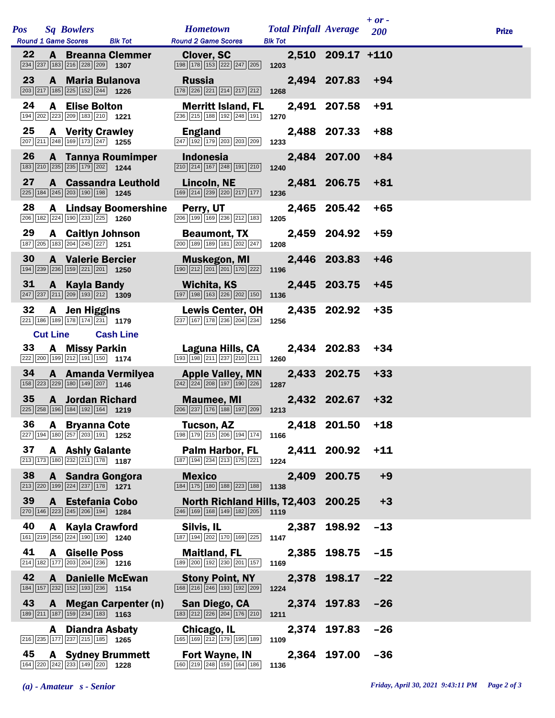|     |                 |                                                                                                                         |                              |                                                                                                                |                                                |                   | $+$ or $-$ |              |
|-----|-----------------|-------------------------------------------------------------------------------------------------------------------------|------------------------------|----------------------------------------------------------------------------------------------------------------|------------------------------------------------|-------------------|------------|--------------|
| Pos |                 | <b>Sq Bowlers</b><br><b>Round 1 Game Scores</b>                                                                         | <b>Blk Tot</b>               | <b>Hometown</b><br><b>Round 2 Game Scores</b>                                                                  | <b>Total Pinfall Average</b><br><b>Blk Tot</b> |                   | 200        | <b>Prize</b> |
| 22  |                 | 234 237 183 216 228 209 1307                                                                                            | <b>A</b> Breanna Clemmer     | <b>Clover, SC</b><br>198 178 153 222 247 205                                                                   | 1203                                           | 2,510 209.17 +110 |            |              |
| 23  |                 | A Maria Bulanova<br>203 217 185 225 152 244                                                                             | 1226                         | <b>Russia</b><br>178 226 221 214 217 212                                                                       | 1268                                           | 2,494 207.83      | $+94$      |              |
| 24  |                 | <b>A</b> Elise Bolton<br>194 202 223 209 183 210 1221                                                                   |                              | <b>Merritt Island, FL</b><br>236 215 188 192 248 191                                                           | 1270                                           | 2,491 207.58      | $+91$      |              |
| 25  |                 | <b>A</b> Verity Crawley<br>207 211 248 169 173 247 1255                                                                 |                              | <b>England</b><br>247 192 179 203 203 209                                                                      | 1233                                           | 2,488 207.33      | $+88$      |              |
| 26  |                 | 183 210 235 235 179 202 1244                                                                                            | A Tannya Roumimper           | <b>Indonesia</b><br>$\boxed{210}$ $\boxed{214}$ $\boxed{167}$ $\boxed{248}$ $\boxed{191}$ $\boxed{210}$        | 1240                                           | 2,484 207.00      | $+84$      |              |
| 27  |                 | 225 184 245 203 190 198 1245                                                                                            | <b>A</b> Cassandra Leuthold  | Lincoln, NE<br>169 214 239 220 217 177                                                                         | 1236                                           | 2,481 206.75      | $+81$      |              |
| 28  |                 | 206 182 224 190 233 225 1260                                                                                            | <b>A</b> Lindsay Boomershine | Perry, UT<br>206 199 169 236 212 183                                                                           | 2,465<br>1205                                  | 205.42            | $+65$      |              |
| 29  |                 | <b>A</b> Caitlyn Johnson<br>187 205 183 204 245 227 1251                                                                |                              | <b>Beaumont, TX</b><br>200 189 189 181 202 247                                                                 | 1208                                           | 2,459 204.92      | $+59$      |              |
| 30  |                 | <b>A</b> Valerie Bercier<br>194 239 236 159 221 201 1250                                                                |                              | <b>Muskegon, MI</b><br>190 212 201 201 170 222                                                                 | 2,446<br>1196                                  | 203.83            | $+46$      |              |
| 31  |                 | <b>A</b> Kayla Bandy<br>$\boxed{247}$ $\boxed{237}$ $\boxed{211}$ $\boxed{209}$ $\boxed{193}$ $\boxed{212}$ <b>1309</b> |                              | Wichita, KS<br>$\boxed{197}$ $\boxed{198}$ $\boxed{163}$ $\boxed{226}$ $\boxed{202}$ $\boxed{150}$             | 1136                                           | 2,445 203.75      | +45        |              |
| 32  |                 | A Jen Higgins<br>221 186 189 178 174 231 1779                                                                           |                              | <b>Lewis Center, OH</b><br>237 167 178 236 204 234                                                             | 1256                                           | 2,435 202.92      | $+35$      |              |
|     | <b>Cut Line</b> |                                                                                                                         | <b>Cash Line</b>             |                                                                                                                |                                                |                   |            |              |
| 33  |                 | A Missy Parkin<br>222 200 199 212 191 150 1174                                                                          |                              | Laguna Hills, CA<br>193 198 211 237 210 211                                                                    | 1260                                           | 2,434 202.83      | $+34$      |              |
| 34  |                 | 158 223 229 180 149 207 1146                                                                                            | A Amanda Vermilyea           | <b>Apple Valley, MN</b><br>$\boxed{242}$ $\boxed{224}$ $\boxed{208}$ $\boxed{197}$ $\boxed{190}$ $\boxed{226}$ | 1287                                           | 2,433 202.75      | $+33$      |              |
| 35  |                 | <b>A</b> Jordan Richard<br>225 258 196 184 192 164 1219                                                                 |                              | <b>Maumee, MI</b><br>206 237 176 188 197 209                                                                   | 1213                                           | 2,432 202.67      | $+32$      |              |
| 36  |                 | <b>A</b> Bryanna Cote<br>$\overline{227}$ 194 180 $\overline{257}$ 203 191 1252                                         |                              | Tucson, AZ<br>198 179 215 206 194 174                                                                          | 1166                                           | 2,418 201.50      | $+18$      |              |
| 37  |                 | <b>A</b> Ashly Galante<br>213 173 180 232 211 178 1187                                                                  |                              | Palm Harbor, FL<br>187 194 234 213 175 221                                                                     | 1224                                           | 2,411 200.92      | $+11$      |              |
| 38  |                 | A Sandra Gongora<br>$\boxed{213}$ $\boxed{220}$ 199 224 237 178 1271                                                    |                              | <b>Mexico</b><br>184 175 180 188 223 188                                                                       | 2,409<br>1138                                  | 200.75            | $+9$       |              |
| 39  |                 | A Estefania Cobo<br>270 146 223 245 206 194 1284                                                                        |                              | North Richland Hills, T2,403 200.25<br>$\boxed{246}$ 169 168 149 182 205 1119                                  |                                                |                   | $+3$       |              |
| 40  | A               | <b>Kayla Crawford</b><br>161 219 256 224 190 190 1240                                                                   |                              | Silvis, IL<br>187 194 202 170 169 225                                                                          | 2,387<br>1147                                  | 198.92            | $-13$      |              |
| 41  |                 | <b>A</b> Giselle Poss<br>214 182 177 203 204 236 1216                                                                   |                              | <b>Maitland, FL</b><br>189 200 192 230 201 157                                                                 | 2,385<br>1169                                  | 198.75            | $-15$      |              |
| 42  |                 | 184 157 232 152 193 236 1154                                                                                            | <b>A</b> Danielle McEwan     | <b>Stony Point, NY</b><br>168 216 246 193 192 209                                                              | 2,378<br>1224                                  | 198.17            | $-22$      |              |
| 43  | A               | 189 211 187 159 234 183 1163                                                                                            | <b>Megan Carpenter (n)</b>   | San Diego, CA<br>183 212 226 204 176 210                                                                       | 1211                                           | 2,374 197.83      | $-26$      |              |
|     | A               | Diandra Asbaty<br>216 235 177 237 215 185 1265                                                                          |                              | Chicago, IL<br>165 169 212 179 195 189                                                                         | 2,374<br>1109                                  | 197.83            | $-26$      |              |
| 45  |                 | 164 220 242 233 149 220 1228                                                                                            | <b>A</b> Sydney Brummett     | <b>Fort Wayne, IN</b><br>160 219 248 159 164 186                                                               | 1136                                           | 2,364 197.00      | $-36$      |              |